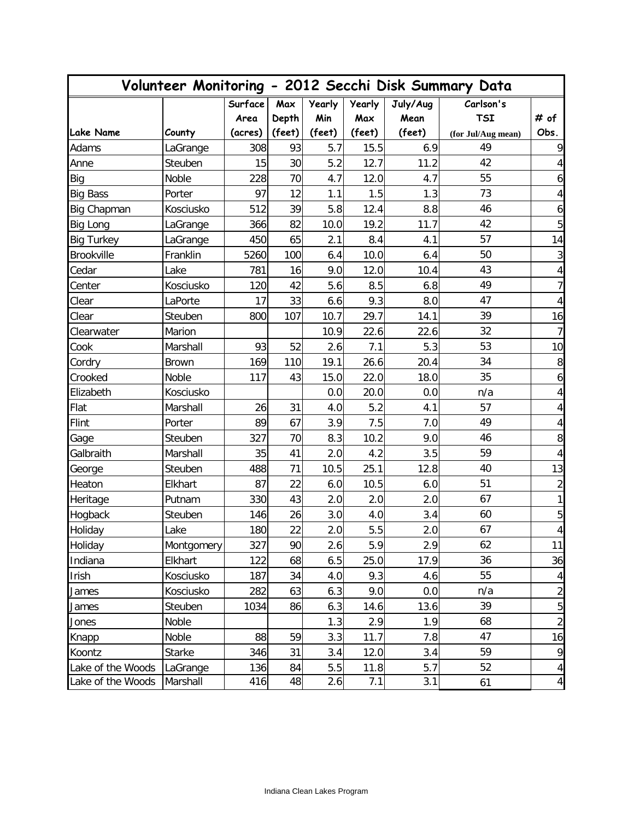|                   |               |         | Volunteer Monitoring - 2012 Secchi Disk Summary Data |               |               |          |                    |                          |  |
|-------------------|---------------|---------|------------------------------------------------------|---------------|---------------|----------|--------------------|--------------------------|--|
|                   |               | Surface | Max                                                  | <b>Yearly</b> | <b>Yearly</b> | July/Aug | Carlson's          |                          |  |
|                   |               | Area    | Depth                                                | Min           | Max           | Mean     | <b>TSI</b>         | # of                     |  |
| <b>Lake Name</b>  | County        | (acres) | (feet)                                               | (feet)        | (feet)        | (feet)   | (for Jul/Aug mean) | Obs.                     |  |
| Adams             | LaGrange      | 308     | 93                                                   | 5.7           | 15.5          | 6.9      | 49                 | 9                        |  |
| Anne              | Steuben       | 15      | 30                                                   | 5.2           | 12.7          | 11.2     | 42                 | 4                        |  |
| Big               | Noble         | 228     | 70                                                   | 4.7           | 12.0          | 4.7      | 55                 | 6                        |  |
| <b>Big Bass</b>   | Porter        | 97      | 12                                                   | 1.1           | 1.5           | 1.3      | 73                 | 4                        |  |
| Big Chapman       | Kosciusko     | 512     | 39                                                   | 5.8           | 12.4          | 8.8      | 46                 | 6                        |  |
| Big Long          | LaGrange      | 366     | 82                                                   | 10.0          | 19.2          | 11.7     | 42                 | 5                        |  |
| <b>Big Turkey</b> | LaGrange      | 450     | 65                                                   | 2.1           | 8.4           | 4.1      | 57                 | 14                       |  |
| <b>Brookville</b> | Franklin      | 5260    | 100                                                  | 6.4           | 10.0          | 6.4      | 50                 | 3                        |  |
| Cedar             | Lake          | 781     | 16                                                   | 9.0           | 12.0          | 10.4     | 43                 | $\sqrt{4}$               |  |
| Center            | Kosciusko     | 120     | 42                                                   | 5.6           | 8.5           | 6.8      | 49                 | 7                        |  |
| Clear             | LaPorte       | 17      | 33                                                   | 6.6           | 9.3           | 8.0      | 47                 | 4                        |  |
| Clear             | Steuben       | 800     | 107                                                  | 10.7          | 29.7          | 14.1     | 39                 | 16                       |  |
| Clearwater        | Marion        |         |                                                      | 10.9          | 22.6          | 22.6     | 32                 | $\overline{7}$           |  |
| Cook              | Marshall      | 93      | 52                                                   | 2.6           | 7.1           | 5.3      | 53                 | 10                       |  |
| Cordry            | <b>Brown</b>  | 169     | 110                                                  | 19.1          | 26.6          | 20.4     | 34                 | 8                        |  |
| Crooked           | Noble         | 117     | 43                                                   | 15.0          | 22.0          | 18.0     | 35                 | 6                        |  |
| Elizabeth         | Kosciusko     |         |                                                      | 0.0           | 20.0          | 0.0      | n/a                | 4                        |  |
| Flat              | Marshall      | 26      | 31                                                   | 4.0           | 5.2           | 4.1      | 57                 | 4                        |  |
| Flint             | Porter        | 89      | 67                                                   | 3.9           | 7.5           | 7.0      | 49                 | 4                        |  |
| Gage              | Steuben       | 327     | 70                                                   | 8.3           | 10.2          | 9.0      | 46                 | 8                        |  |
| Galbraith         | Marshall      | 35      | 41                                                   | 2.0           | 4.2           | 3.5      | 59                 | 4                        |  |
| George            | Steuben       | 488     | 71                                                   | 10.5          | 25.1          | 12.8     | 40                 | 13                       |  |
| Heaton            | Elkhart       | 87      | 22                                                   | 6.0           | 10.5          | 6.0      | 51                 | $\overline{c}$           |  |
| Heritage          | Putnam        | 330     | 43                                                   | 2.0           | 2.0           | 2.0      | 67                 | 1                        |  |
| Hogback           | Steuben       | 146     | 26                                                   | 3.0           | 4.0           | 3.4      | 60                 | 5                        |  |
| Holiday           | Lake          | 180     | 22                                                   | 2.0           | 5.5           | 2.0      | 67                 | $\overline{\mathbf{r}}$  |  |
| Holiday           | Montgomery    | 327     | 90                                                   | 2.6           | 5.9           | 2.9      | 62                 | 11                       |  |
| Indiana           | Elkhart       | 122     | 68                                                   | 6.5           | 25.0          | 17.9     | 36                 | 36                       |  |
| Irish             | Kosciusko     | 187     | 34                                                   | 4.0           | 9.3           | 4.6      | 55                 | 4                        |  |
| James             | Kosciusko     | 282     | 63                                                   | 6.3           | 9.0           | 0.0      | n/a                | $\overline{\mathbf{c}}$  |  |
| James             | Steuben       | 1034    | 86                                                   | 6.3           | 14.6          | 13.6     | 39                 | 5                        |  |
| Jones             | Noble         |         |                                                      | 1.3           | 2.9           | 1.9      | 68                 | $\overline{c}$           |  |
| Knapp             | Noble         | 88      | 59                                                   | 3.3           | 11.7          | 7.8      | 47                 | 16                       |  |
| Koontz            | <b>Starke</b> | 346     | 31                                                   | 3.4           | 12.0          | 3.4      | 59                 | 9                        |  |
| Lake of the Woods | LaGrange      | 136     | 84                                                   | 5.5           | 11.8          | 5.7      | 52                 | $\overline{\mathcal{A}}$ |  |
| Lake of the Woods | Marshall      | 416     | 48                                                   | 2.6           | 7.1           | 3.1      | 61                 | 4                        |  |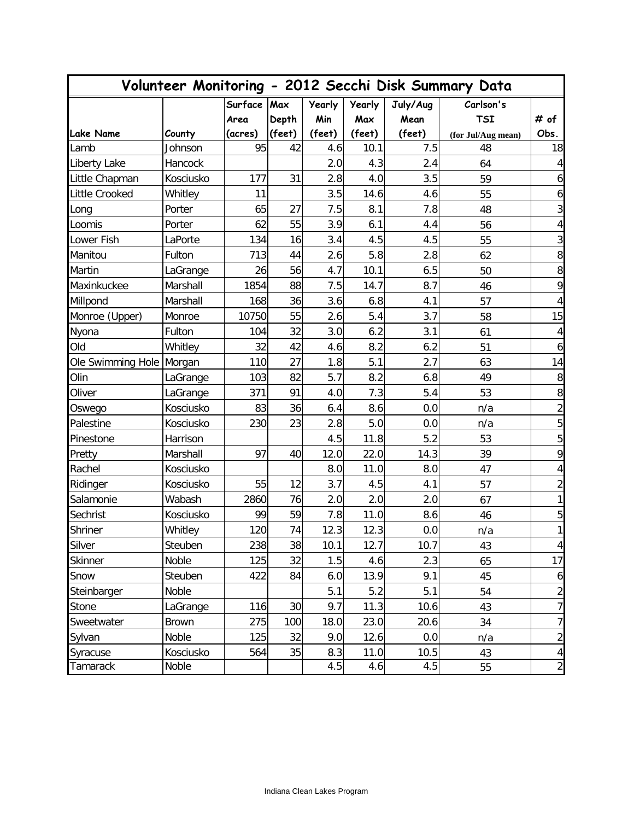| Volunteer Monitoring - 2012 Secchi Disk Summary Data |              |         |        |               |               |          |                    |                         |
|------------------------------------------------------|--------------|---------|--------|---------------|---------------|----------|--------------------|-------------------------|
|                                                      |              | Surface | Max    | <b>Yearly</b> | <b>Yearly</b> | July/Aug | Carlson's          |                         |
|                                                      |              | Area    | Depth  | Min           | Max           | Mean     | <b>TSI</b>         | # of                    |
| <b>Lake Name</b>                                     | County       | (acres) | (feet) | (feet)        | (feet)        | (feet)   | (for Jul/Aug mean) | Obs.                    |
| Lamb                                                 | Johnson      | 95      | 42     | 4.6           | 10.1          | 7.5      | 48                 | 18                      |
| Liberty Lake                                         | Hancock      |         |        | 2.0           | 4.3           | 2.4      | 64                 | $\overline{4}$          |
| Little Chapman                                       | Kosciusko    | 177     | 31     | 2.8           | 4.0           | 3.5      | 59                 | 6                       |
| Little Crooked                                       | Whitley      | 11      |        | 3.5           | 14.6          | 4.6      | 55                 | $\boldsymbol{6}$        |
| Long                                                 | Porter       | 65      | 27     | 7.5           | 8.1           | 7.8      | 48                 | $\mathbf{3}$            |
| Loomis                                               | Porter       | 62      | 55     | 3.9           | 6.1           | 4.4      | 56                 | $\overline{\mathbf{4}}$ |
| Lower Fish                                           | LaPorte      | 134     | 16     | 3.4           | 4.5           | 4.5      | 55                 | $\sqrt{3}$              |
| Manitou                                              | Fulton       | 713     | 44     | 2.6           | 5.8           | 2.8      | 62                 | $\, 8$                  |
| Martin                                               | LaGrange     | 26      | 56     | 4.7           | 10.1          | 6.5      | 50                 | $\boldsymbol{8}$        |
| Maxinkuckee                                          | Marshall     | 1854    | 88     | 7.5           | 14.7          | 8.7      | 46                 | 9                       |
| Millpond                                             | Marshall     | 168     | 36     | 3.6           | 6.8           | 4.1      | 57                 | $\overline{4}$          |
| Monroe (Upper)                                       | Monroe       | 10750   | 55     | 2.6           | 5.4           | 3.7      | 58                 | 15                      |
| Nyona                                                | Fulton       | 104     | 32     | 3.0           | 6.2           | 3.1      | 61                 | $\overline{4}$          |
| Old                                                  | Whitley      | 32      | 42     | 4.6           | 8.2           | 6.2      | 51                 | $\boldsymbol{6}$        |
| Ole Swimming Hole Morgan                             |              | 110     | 27     | 1.8           | 5.1           | 2.7      | 63                 | 14                      |
| Olin                                                 | LaGrange     | 103     | 82     | 5.7           | 8.2           | 6.8      | 49                 | $\, 8$                  |
| Oliver                                               | LaGrange     | 371     | 91     | 4.0           | 7.3           | 5.4      | 53                 | $\boldsymbol{8}$        |
| Oswego                                               | Kosciusko    | 83      | 36     | 6.4           | 8.6           | 0.0      | n/a                | $\mathbf{2}$            |
| Palestine                                            | Kosciusko    | 230     | 23     | 2.8           | 5.0           | 0.0      | n/a                | 5                       |
| Pinestone                                            | Harrison     |         |        | 4.5           | 11.8          | 5.2      | 53                 | $\mathbf 5$             |
| Pretty                                               | Marshall     | 97      | 40     | 12.0          | 22.0          | 14.3     | 39                 | 9                       |
| Rachel                                               | Kosciusko    |         |        | 8.0           | 11.0          | 8.0      | 47                 | $\overline{4}$          |
| Ridinger                                             | Kosciusko    | 55      | 12     | 3.7           | 4.5           | 4.1      | 57                 | $\sqrt{2}$              |
| Salamonie                                            | Wabash       | 2860    | 76     | 2.0           | 2.0           | 2.0      | 67                 | $\mathbf{1}$            |
| Sechrist                                             | Kosciusko    | 99      | 59     | 7.8           | 11.0          | 8.6      | 46                 | 5                       |
| Shriner                                              | Whitley      | 120     | 74     | 12.3          | 12.3          | 0.0      | n/a                | 1                       |
| Silver                                               | Steuben      | 238     | 38     | 10.1          | 12.7          | 10.7     | 43                 | $\vert$                 |
| Skinner                                              | Noble        | 125     | 32     | 1.5           | 4.6           | 2.3      | 65                 | 17                      |
| Snow                                                 | Steuben      | 422     | 84     | 6.0           | 13.9          | 9.1      | 45                 | $\mathbf{6}$            |
| Steinbarger                                          | Noble        |         |        | 5.1           | 5.2           | 5.1      | 54                 | $\overline{c}$          |
| Stone                                                | LaGrange     | 116     | 30     | 9.7           | 11.3          | 10.6     | 43                 | $\overline{7}$          |
| Sweetwater                                           | <b>Brown</b> | 275     | 100    | 18.0          | 23.0          | 20.6     | 34                 | 7                       |
| Sylvan                                               | Noble        | 125     | 32     | 9.0           | 12.6          | 0.0      | n/a                | $\mathbf{2}$            |
| Syracuse                                             | Kosciusko    | 564     | 35     | 8.3           | 11.0          | 10.5     | 43                 | 4                       |
| Tamarack                                             | Noble        |         |        | 4.5           | 4.6           | 4.5      | 55                 | $\overline{2}$          |